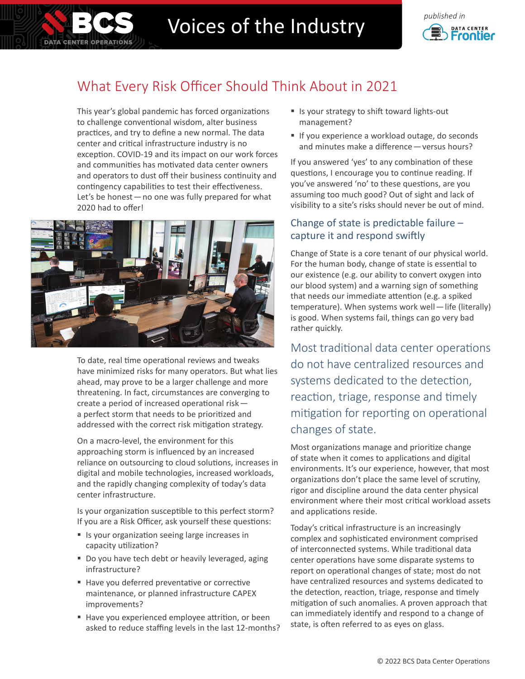

# Voices of the Industry **Construction**



## What Every Risk Officer Should Think About in 2021

This year's global pandemic has forced organizations to challenge conventional wisdom, alter business practices, and try to define a new normal. The data center and critical infrastructure industry is no exception. COVID-19 and its impact on our work forces and communities has motivated data center owners and operators to dust off their business continuity and contingency capabilities to test their effectiveness. Let's be honest—no one was fully prepared for what 2020 had to offer!



To date, real time operational reviews and tweaks have minimized risks for many operators. But what lies ahead, may prove to be a larger challenge and more threatening. In fact, circumstances are converging to create a period of increased operational risk a perfect storm that needs to be prioritized and addressed with the correct risk mitigation strategy.

On a macro-level, the environment for this approaching storm is influenced by an increased reliance on outsourcing to cloud solutions, increases in digital and mobile technologies, increased workloads, and the rapidly changing complexity of today's data center infrastructure.

Is your organization susceptible to this perfect storm? If you are a Risk Officer, ask yourself these questions:

- Is your organization seeing large increases in capacity utilization?
- Do you have tech debt or heavily leveraged, aging infrastructure?
- Have you deferred preventative or corrective maintenance, or planned infrastructure CAPEX improvements?
- Have you experienced employee attrition, or been asked to reduce staffing levels in the last 12-months?
- Is your strategy to shift toward lights-out management?
- If you experience a workload outage, do seconds and minutes make a difference—versus hours?

If you answered 'yes' to any combination of these questions, I encourage you to continue reading. If you've answered 'no' to these questions, are you assuming too much good? Out of sight and lack of visibility to a site's risks should never be out of mind.

#### Change of state is predictable failure – capture it and respond swiftly

Change of State is a core tenant of our physical world. For the human body, change of state is essential to our existence (e.g. our ability to convert oxygen into our blood system) and a warning sign of something that needs our immediate attention (e.g. a spiked temperature). When systems work well - life (literally) is good. When systems fail, things can go very bad rather quickly.

Most traditional data center operations do not have centralized resources and systems dedicated to the detection, reaction, triage, response and timely mitigation for reporting on operational changes of state.

Most organizations manage and prioritize change of state when it comes to applications and digital environments. It's our experience, however, that most organizations don't place the same level of scrutiny, rigor and discipline around the data center physical environment where their most critical workload assets and applications reside.

Today's critical infrastructure is an increasingly complex and sophisticated environment comprised of interconnected systems. While traditional data center operations have some disparate systems to report on operational changes of state; most do not have centralized resources and systems dedicated to the detection, reaction, triage, response and timely mitigation of such anomalies. A proven approach that can immediately identify and respond to a change of state, is often referred to as eyes on glass.